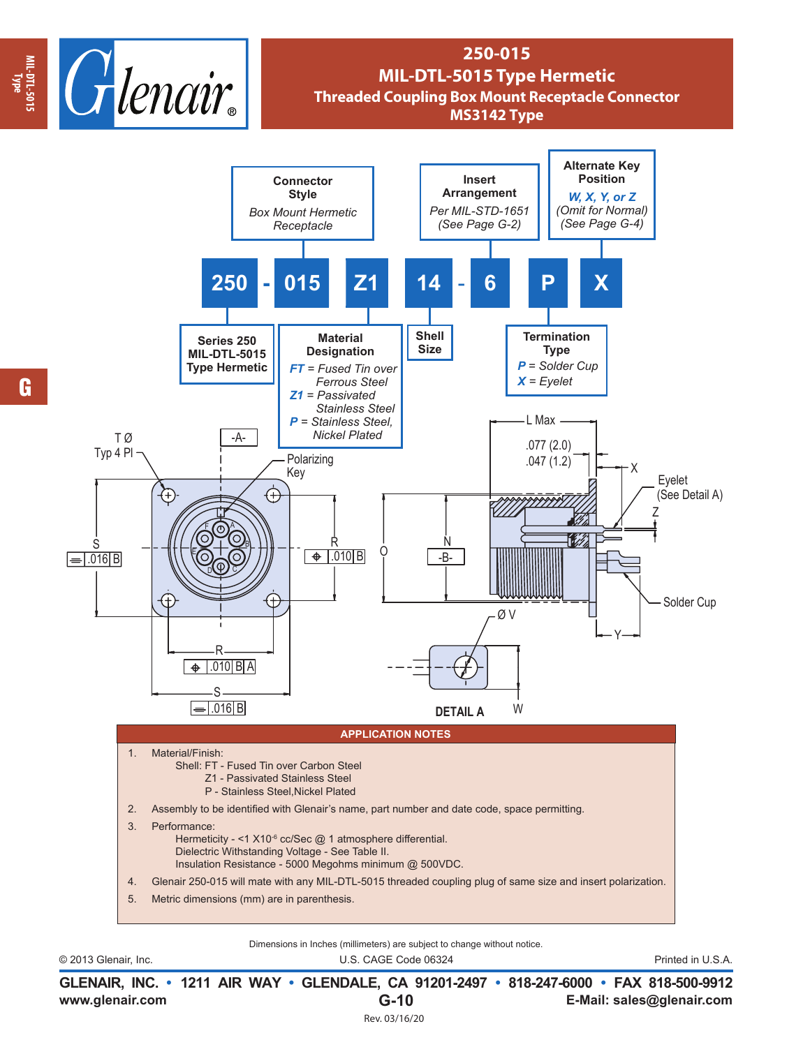

## **250-015 MIL-DTL-5015 Type Hermetic Threaded Coupling Box Mount Receptacle Connector MS3142 Type**



Dimensions in Inches (millimeters) are subject to change without notice.

© 2013 Glenair, Inc. U.S. CAGE Code 06324 Printed in U.S.A.